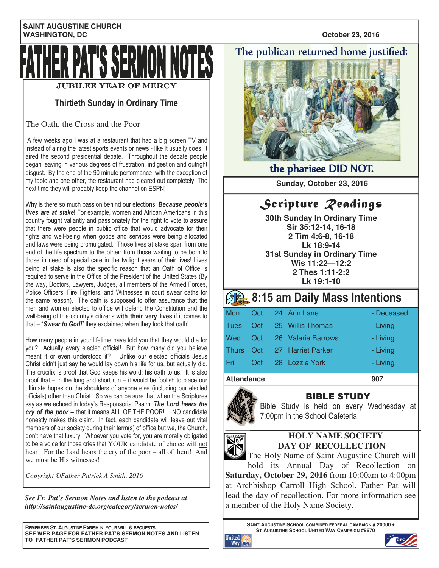#### **SAINT AUGUSTINE CHURCH WASHINGTON, DC October 23, 2016**



### Thirtieth Sunday in Ordinary Time

The Oath, the Cross and the Poor

A few weeks ago I was at a restaurant that had a big screen TV and instead of airing the latest sports events or news - like it usually does; it aired the second presidential debate. Throughout the debate people began leaving in various degrees of frustration, indigestion and outright disgust. By the end of the 90 minute performance, with the exception of my table and one other, the restaurant had cleared out completely! The next time they will probably keep the channel on ESPN!

Why is there so much passion behind our elections: **Because people's** lives are at stake! For example, women and African Americans in this country fought valiantly and passionately for the right to vote to assure that there were people in public office that would advocate for their rights and well-being when goods and services were being allocated and laws were being promulgated. Those lives at stake span from one end of the life spectrum to the other: from those waiting to be born to those in need of special care in the twilight years of their lives! Lives being at stake is also the specific reason that an Oath of Office is required to serve in the Office of the President of the United States (By the way, Doctors, Lawyers, Judges, all members of the Armed Forces, Police Officers, Fire Fighters, and Witnesses in court swear oaths for the same reason). The oath is supposed to offer assurance that the men and women elected to office will defend the Constitution and the well-being of this country's citizens with their very lives if it comes to that – "Swear to God!" they exclaimed when they took that oath!

How many people in your lifetime have told you that they would die for you? Actually every elected official! But how many did you believe meant it or even understood it? Unlike our elected officials Jesus Christ didn't just say he would lay down his life for us, but actually did. The crucifix is proof that God keeps his word; his oath to us. It is also proof that – in the long and short run – it would be foolish to place our ultimate hopes on the shoulders of anyone else (including our elected officials) other than Christ. So we can be sure that when the Scriptures say as we echoed in today's Responsorial Psalm: The Lord hears the cry of the poor - that it means ALL OF THE POOR! NO candidate honestly makes this claim. In fact, each candidate will leave out vital members of our society during their term(s) of office but we, the Church, don't have that luxury! Whoever you vote for, you are morally obligated to be a voice for those cries that YOUR candidate of choice will not hear! For the Lord hears the cry of the poor – all of them! And we must be His witnesses!

*Copyright ©Father Patrick A Smith, 2016*

*See Fr. Pat's Sermon Notes and listen to the podcast at http://saintaugustine-dc.org/category/sermon-notes/*

**REMEMBER ST. AUGUSTINE PARISH IN YOUR WILL & BEQUESTS SEE WEB PAGE FOR FATHER PAT'S SERMON NOTES AND LISTEN TO FATHER PAT'S SERMON PODCAST** 

The publican returned home justified;



the pharisee DID NOT.

 **Sunday, October 23, 2016** 

### Scripture *Readings*

**30th Sunday In Ordinary Time Sir 35:12-14, 16-18 2 Tim 4:6-8, 16-18 Lk 18:9-14 31st Sunday in Ordinary Time Wis 11:22—12:2 2 Thes 1:11-2:2 Lk 19:1-10** 

## 8:15 am Daily Mass Intentions

|              |     | Mon Oct 24 Ann Lane | - Deceased |
|--------------|-----|---------------------|------------|
| <b>Tues</b>  | Oct | 25 Willis Thomas    | - Living   |
| Wed          | Oct | 26 Valerie Barrows  | - Living   |
| <b>Thurs</b> | Oct | 27 Harriet Parker   | - Living   |
| Fri -        | Oct | 28 Lozzie York      | - Living   |
|              |     |                     |            |

Attendance 907



### BIBLE STUDY

Bible Study is held on every Wednesday at 7:00pm in the School Cafeteria.



### **HOLY NAME SOCIETY DAY OF RECOLLECTION**

The Holy Name of Saint Augustine Church will hold its Annual Day of Recollection on **Saturday, October 29, 2016** from 10:00am to 4:00pm at Archbishop Carroll High School. Father Pat will lead the day of recollection. For more information see a member of the Holy Name Society.

> **SAINT AUGUSTINE SCHOOL COMBINED FEDERAL CAMPAIGN # 20000** ♦ **ST AUGUSTINE SCHOOL UNITED WAY CAMPAIGN #9670**